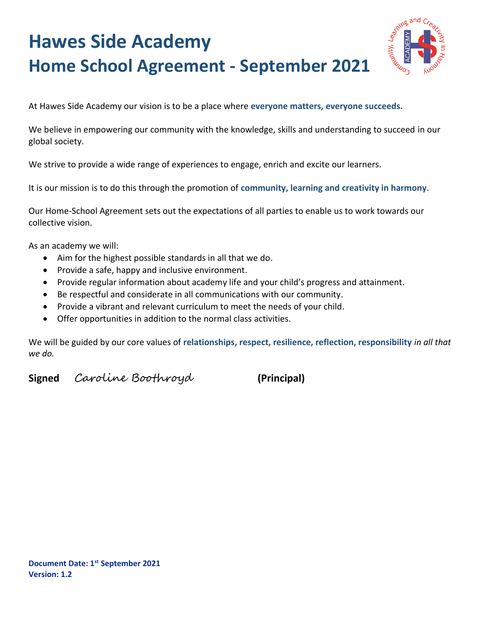## **Hawes Side Academy Home School Agreement - September 2021**



At Hawes Side Academy our vision is to be a place where **everyone matters, everyone succeeds.**

We believe in empowering our community with the knowledge, skills and understanding to succeed in our global society.

We strive to provide a wide range of experiences to engage, enrich and excite our learners.

It is our mission is to do this through the promotion of **community, learning and creativity in harmony**.

Our Home-School Agreement sets out the expectations of all parties to enable us to work towards our collective vision.

As an academy we will:

- Aim for the highest possible standards in all that we do.
- Provide a safe, happy and inclusive environment.
- Provide regular information about academy life and your child's progress and attainment.
- Be respectful and considerate in all communications with our community.
- Provide a vibrant and relevant curriculum to meet the needs of your child.
- Offer opportunities in addition to the normal class activities.

We will be guided by our core values of **relationships, respect, resilience, reflection, responsibility** *in all that we do.*

**Signed** Caroline Boothroyd **(Principal)**

**Document Date: 1st September 2021 Version: 1.2**